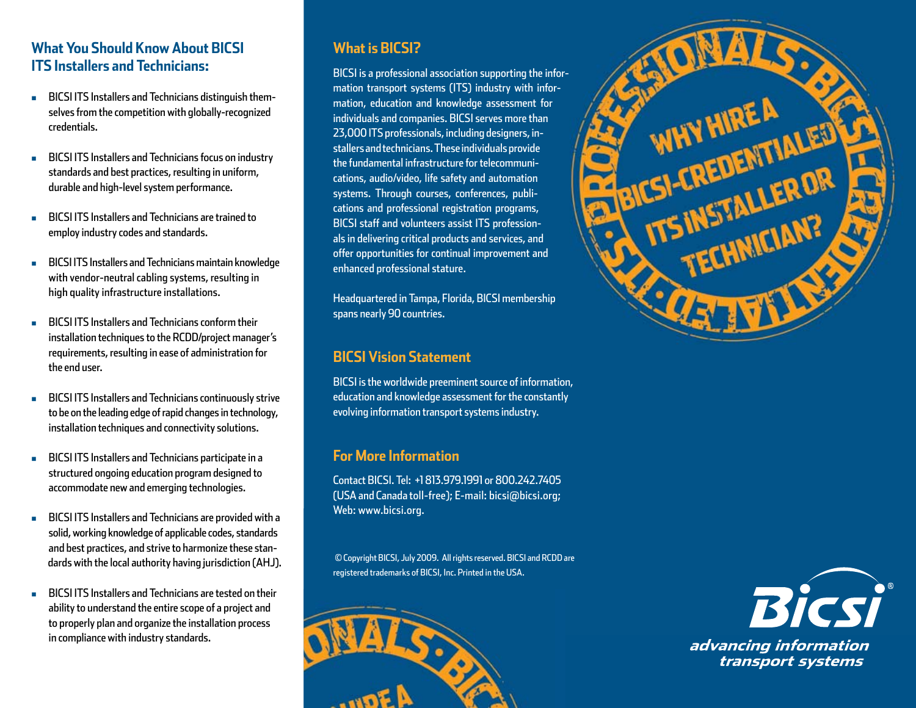## **What You Should Know About BICSI ITS Installers and Technicians:**

- **BICSI ITS Installers and Technicians distinguish them**selves from the competition with globally-recognized credentials.
- **BICSI ITS Installers and Technicians focus on industry** standards and best practices, resulting in uniform, durable and high-level system performance.
- **EXECUTE:** BICSI ITS Installers and Technicians are trained to employ industry codes and standards.
- **n** BICSI ITS Installers and Technicians maintain knowledge with vendor-neutral cabling systems, resulting in high quality infrastructure installations.
- <sup>n</sup> BICSI ITS Installers and Technicians conform their installation techniques to the RCDD/project manager's requirements, resulting in ease of administration for the end user.
- **BICSI ITS Installers and Technicians continuously strive** to be on the leading edge of rapid changes in technology, installation techniques and connectivity solutions.
- **BICSI ITS Installers and Technicians participate in a** structured ongoing education program designed to accommodate new and emerging technologies.
- **BICSI ITS Installers and Technicians are provided with a** solid, working knowledge of applicable codes, standards and best practices, and strive to harmonize these stan dards with the local authority having jurisdiction (AHJ).
- **n** BICSI ITS Installers and Technicians are tested on their ability to understand the entire scope of a project and to properly plan and organize the installation process in compliance with industry standards.

# **What is BICSI?**

BICSI is a professional association supporting the information transport systems (ITS) industry with information, education and knowledge assessment for individuals and companies. BICSI serves more than 23,000 ITS professionals, including designers, installers and technicians. These individuals provide the fundamental infrastructure for telecommunications, audio/video, life safety and automation systems. Through courses, conferences, publications and professional registration programs, BICSI staff and volunteers assist ITS professionals in delivering critical products and services, and offer opportunities for continual improvement and enhanced professional stature.

Headquartered in Tampa, Florida, BICSI membership spans nearly 90 countries.

# **BICSI Vision Statement**

BICSI is the worldwide preeminent source of information, education and knowledge assessment for the constantly evolving information transport systems industry.

# **For More Information**

Contact BICSI. Tel: +1 813.979.1991 or 800.242.7405 (USA and Canada toll-free); E-mail: bicsi@bicsi.org; Web: www.bicsi.org.

© Copyright BICSI, July 2009. All rights reserved. BICSI and RCDD are registered trademarks of BICSI, Inc. Printed in the USA.